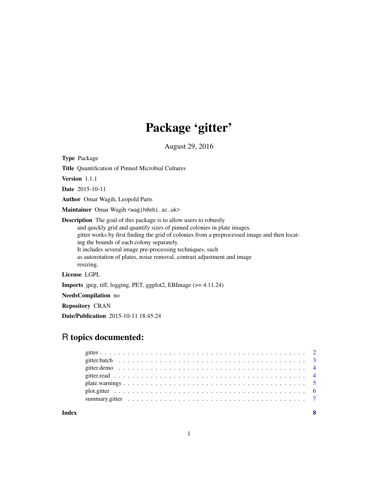# Package 'gitter'

August 29, 2016

<span id="page-0-0"></span>Type Package

Title Quantification of Pinned Microbial Cultures

Version 1.1.1

Date 2015-10-11

Author Omar Wagih, Leopold Parts

Maintainer Omar Wagih <wagih@ebi.ac.uk>

Description The goal of this package is to allow users to robustly and quickly grid and quantify sizes of pinned colonies in plate images. gitter works by first finding the grid of colonies from a preprocessed image and then locating the bounds of each colony separately. It includes several image pre-processing techniques, such as autorotation of plates, noise removal, contrast adjustment and image resizing.

License LGPL

Imports jpeg, tiff, logging, PET, ggplot2, EBImage (>= 4.11.24)

NeedsCompilation no

Repository CRAN

Date/Publication 2015-10-11 18:45:24

# R topics documented:

**Index** [8](#page-7-0) **8**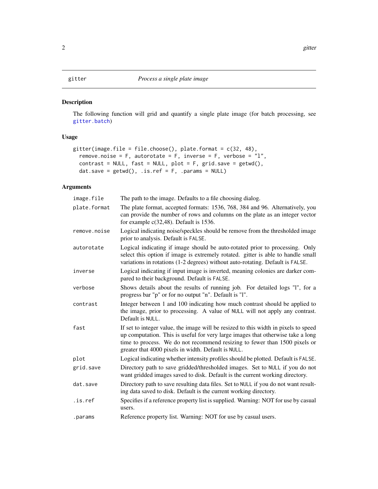# <span id="page-1-1"></span><span id="page-1-0"></span>Description

The following function will grid and quantify a single plate image (for batch processing, see [gitter.batch](#page-2-1))

# Usage

```
gitter(image.file = file.choose(), plate.format = c(32, 48),
  remove.noise = F, autorotate = F, inverse = F, verbose = "l",contrast = NULL, fast = NULL, plot = F, grid.save = getwd(),
 dat.save = getwd(), .is.ref = F, .params = NULL)
```
# Arguments

| image.file   | The path to the image. Defaults to a file choosing dialog.                                                                                                                                                                                                                                                  |
|--------------|-------------------------------------------------------------------------------------------------------------------------------------------------------------------------------------------------------------------------------------------------------------------------------------------------------------|
| plate.format | The plate format, accepted formats: 1536, 768, 384 and 96. Alternatively, you<br>can provide the number of rows and columns on the plate as an integer vector<br>for example $c(32,48)$ . Default is 1536.                                                                                                  |
| remove.noise | Logical indicating noise/speckles should be remove from the thresholded image<br>prior to analysis. Default is FALSE.                                                                                                                                                                                       |
| autorotate   | Logical indicating if image should be auto-rotated prior to processing. Only<br>select this option if image is extremely rotated. gitter is able to handle small<br>variations in rotations (1-2 degrees) without auto-rotating. Default is FALSE.                                                          |
| inverse      | Logical indicating if input image is inverted, meaning colonies are darker com-<br>pared to their background. Default is FALSE.                                                                                                                                                                             |
| verbose      | Shows details about the results of running job. For detailed logs "I", for a<br>progress bar "p" or for no output "n". Default is "l".                                                                                                                                                                      |
| contrast     | Integer between 1 and 100 indicating how much contrast should be applied to<br>the image, prior to processing. A value of NULL will not apply any contrast.<br>Default is NULL.                                                                                                                             |
| fast         | If set to integer value, the image will be resized to this width in pixels to speed<br>up computation. This is useful for very large images that otherwise take a long<br>time to process. We do not recommend resizing to fewer than 1500 pixels or<br>greater that 4000 pixels in width. Default is NULL. |
| plot         | Logical indicating whether intensity profiles should be plotted. Default is FALSE.                                                                                                                                                                                                                          |
| grid.save    | Directory path to save gridded/thresholded images. Set to NULL if you do not<br>want gridded images saved to disk. Default is the current working directory.                                                                                                                                                |
| dat.save     | Directory path to save resulting data files. Set to NULL if you do not want result-<br>ing data saved to disk. Default is the current working directory.                                                                                                                                                    |
| .is.ref      | Specifies if a reference property list is supplied. Warning: NOT for use by casual<br>users.                                                                                                                                                                                                                |
| .params      | Reference property list. Warning: NOT for use by casual users.                                                                                                                                                                                                                                              |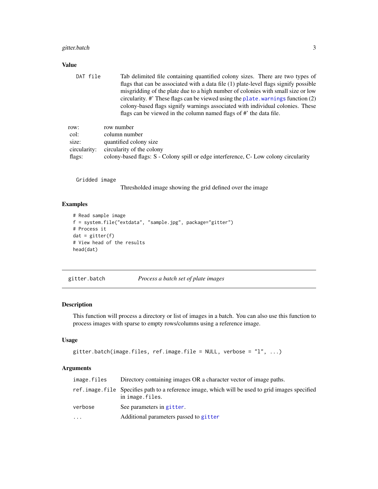# <span id="page-2-0"></span>gitter.batch 3

#### Value

DAT file Tab delimited file containing quantified colony sizes. There are two types of flags that can be associated with a data file (1) plate-level flags signify possible misgridding of the plate due to a high number of colonies with small size or low circularity. #' These flags can be viewed using the [plate.warnings](#page-4-1) function (2) colony-based flags signify warnings associated with individual colonies. These flags can be viewed in the column named flags of #' the data file.

| row:         | row number                                                                           |
|--------------|--------------------------------------------------------------------------------------|
| col:         | column number                                                                        |
| size:        | quantified colony size                                                               |
| circularity: | circularity of the colony                                                            |
| flags:       | colony-based flags: S - Colony spill or edge interference, C- Low colony circularity |

Gridded image

Thresholded image showing the grid defined over the image

# Examples

```
# Read sample image
f = system.file("extdata", "sample.jpg", package="gitter")
# Process it
dat = gitter(f)# View head of the results
head(dat)
```
<span id="page-2-1"></span>gitter.batch *Process a batch set of plate images*

# Description

This function will process a directory or list of images in a batch. You can also use this function to process images with sparse to empty rows/columns using a reference image.

#### Usage

```
gitter.batch(image.files, ref.image.file = NULL, verbose = "l", ...)
```
#### Arguments

| image.files | Directory containing images OR a character vector of image paths.                                                    |
|-------------|----------------------------------------------------------------------------------------------------------------------|
|             | ref. image. file Specifies path to a reference image, which will be used to grid images specified<br>in image.files. |
| verbose     | See parameters in gitter.                                                                                            |
| .           | Additional parameters passed to gitter                                                                               |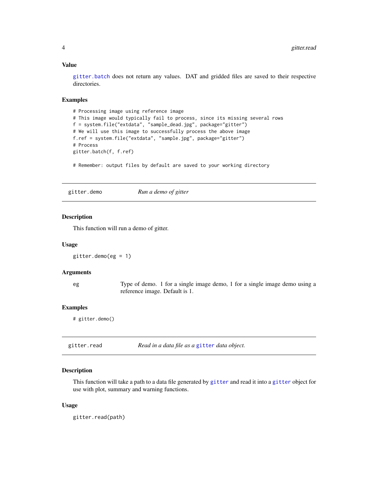# <span id="page-3-0"></span>Value

[gitter.batch](#page-2-1) does not return any values. DAT and gridded files are saved to their respective directories.

# Examples

```
# Processing image using reference image
# This image would typically fail to process, since its missing several rows
f = system.file("extdata", "sample_dead.jpg", package="gitter")
# We will use this image to successfully process the above image
f.ref = system.file("extdata", "sample.jpg", package="gitter")
# Process
gitter.batch(f, f.ref)
```
# Remember: output files by default are saved to your working directory

gitter.demo *Run a demo of gitter*

# Description

This function will run a demo of gitter.

## Usage

gitter.demo(eg = 1)

# **Arguments**

eg Type of demo. 1 for a single image demo, 1 for a single image demo using a reference image. Default is 1.

## Examples

# gitter.demo()

| Read in a data file as a gitter data object.<br>gitter.read |  |
|-------------------------------------------------------------|--|
|-------------------------------------------------------------|--|

# Description

This function will take a path to a data file generated by [gitter](#page-1-1) and read it into a [gitter](#page-1-1) object for use with plot, summary and warning functions.

## Usage

gitter.read(path)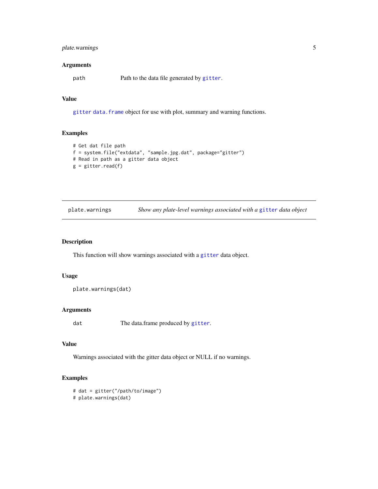# <span id="page-4-0"></span>plate.warnings 5

# Arguments

path Path to the data file generated by [gitter](#page-1-1).

# Value

[gitter](#page-1-1) [data.frame](#page-0-0) object for use with plot, summary and warning functions.

# Examples

```
# Get dat file path
f = system.file("extdata", "sample.jpg.dat", package="gitter")
# Read in path as a gitter data object
g = gitter.read(f)
```
<span id="page-4-1"></span>

| plate.warnings | Show any plate-level warnings associated with a gitter data object |  |  |
|----------------|--------------------------------------------------------------------|--|--|
|                |                                                                    |  |  |

# Description

This function will show warnings associated with a [gitter](#page-1-1) data object.

# Usage

plate.warnings(dat)

# Arguments

dat The data.frame produced by [gitter](#page-1-1).

# Value

Warnings associated with the gitter data object or NULL if no warnings.

# Examples

# dat = gitter("/path/to/image") # plate.warnings(dat)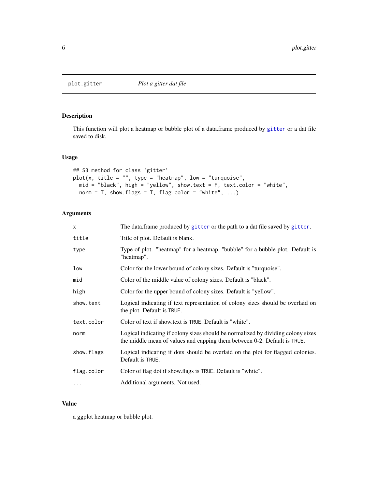<span id="page-5-0"></span>

# Description

This function will plot a heatmap or bubble plot of a data.frame produced by [gitter](#page-1-1) or a dat file saved to disk.

# Usage

```
## S3 method for class 'gitter'
plot(x, title = "", type = "heatmap", low = "turquoise",mid = "black", high = "yellow", show.text = F, text.color = "white",
 norm = T, show.flags = T, flag.color = "white", ...)
```
# Arguments

| $\times$   | The data.frame produced by gitter or the path to a dat file saved by gitter.                                                                                 |
|------------|--------------------------------------------------------------------------------------------------------------------------------------------------------------|
| title      | Title of plot. Default is blank.                                                                                                                             |
| type       | Type of plot. "heatmap" for a heatmap, "bubble" for a bubble plot. Default is<br>"heatmap".                                                                  |
| low        | Color for the lower bound of colony sizes. Default is "turquoise".                                                                                           |
| mid        | Color of the middle value of colony sizes. Default is "black".                                                                                               |
| high       | Color for the upper bound of colony sizes. Default is "yellow".                                                                                              |
| show.text  | Logical indicating if text representation of colony sizes should be overlaid on<br>the plot. Default is TRUE.                                                |
| text.color | Color of text if show text is TRUE. Default is "white".                                                                                                      |
| norm       | Logical indicating if colony sizes should be normalized by dividing colony sizes<br>the middle mean of values and capping them between 0-2. Default is TRUE. |
| show.flags | Logical indicating if dots should be overlaid on the plot for flagged colonies.<br>Default is TRUE.                                                          |
| flag.color | Color of flag dot if show. flags is TRUE. Default is "white".                                                                                                |
| $\cdots$   | Additional arguments. Not used.                                                                                                                              |

# Value

a ggplot heatmap or bubble plot.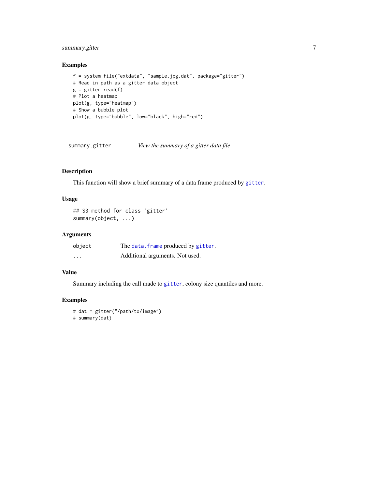# <span id="page-6-0"></span>summary.gitter 7

# Examples

```
f = system.file("extdata", "sample.jpg.dat", package="gitter")
# Read in path as a gitter data object
g = gitter.read(f)# Plot a heatmap
plot(g, type="heatmap")
# Show a bubble plot
plot(g, type="bubble", low="black", high="red")
```
summary.gitter *View the summary of a gitter data file*

# Description

This function will show a brief summary of a data frame produced by [gitter](#page-1-1).

#### Usage

```
## S3 method for class 'gitter'
summary(object, ...)
```
# Arguments

| object   | The data. frame produced by gitter. |
|----------|-------------------------------------|
| $\cdots$ | Additional arguments. Not used.     |

# Value

Summary including the call made to [gitter](#page-1-1), colony size quantiles and more.

# Examples

```
# dat = gitter("/path/to/image")
# summary(dat)
```